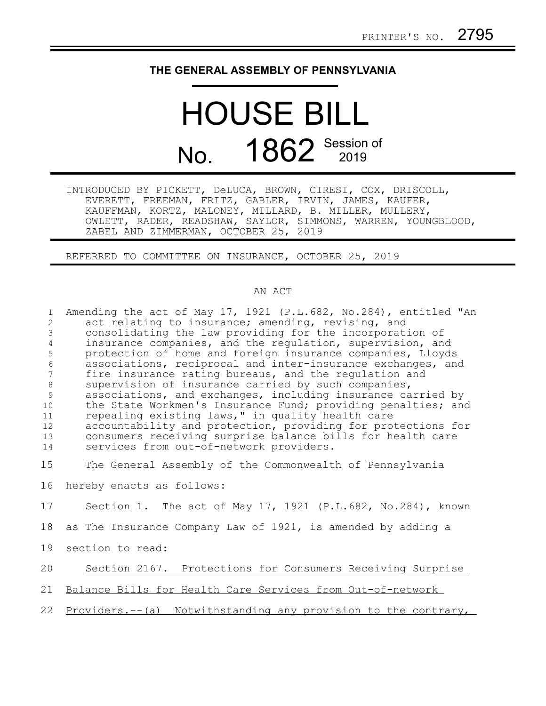## **THE GENERAL ASSEMBLY OF PENNSYLVANIA**

## HOUSE BILL No. 1862 Session of

INTRODUCED BY PICKETT, DeLUCA, BROWN, CIRESI, COX, DRISCOLL, EVERETT, FREEMAN, FRITZ, GABLER, IRVIN, JAMES, KAUFER, KAUFFMAN, KORTZ, MALONEY, MILLARD, B. MILLER, MULLERY, OWLETT, RADER, READSHAW, SAYLOR, SIMMONS, WARREN, YOUNGBLOOD, ZABEL AND ZIMMERMAN, OCTOBER 25, 2019

REFERRED TO COMMITTEE ON INSURANCE, OCTOBER 25, 2019

## AN ACT

| $\mathbf{1}$<br>2<br>3<br>$\overline{4}$<br>5<br>6<br>$7\phantom{.0}$<br>$8\,$<br>9<br>10<br>11<br>12<br>13 | Amending the act of May 17, 1921 (P.L.682, No.284), entitled "An<br>act relating to insurance; amending, revising, and<br>consolidating the law providing for the incorporation of<br>insurance companies, and the regulation, supervision, and<br>protection of home and foreign insurance companies, Lloyds<br>associations, reciprocal and inter-insurance exchanges, and<br>fire insurance rating bureaus, and the regulation and<br>supervision of insurance carried by such companies,<br>associations, and exchanges, including insurance carried by<br>the State Workmen's Insurance Fund; providing penalties; and<br>repealing existing laws," in quality health care<br>accountability and protection, providing for protections for<br>consumers receiving surprise balance bills for health care |
|-------------------------------------------------------------------------------------------------------------|---------------------------------------------------------------------------------------------------------------------------------------------------------------------------------------------------------------------------------------------------------------------------------------------------------------------------------------------------------------------------------------------------------------------------------------------------------------------------------------------------------------------------------------------------------------------------------------------------------------------------------------------------------------------------------------------------------------------------------------------------------------------------------------------------------------|
| 14                                                                                                          | services from out-of-network providers.                                                                                                                                                                                                                                                                                                                                                                                                                                                                                                                                                                                                                                                                                                                                                                       |
| 15                                                                                                          | The General Assembly of the Commonwealth of Pennsylvania                                                                                                                                                                                                                                                                                                                                                                                                                                                                                                                                                                                                                                                                                                                                                      |
| 16                                                                                                          | hereby enacts as follows:                                                                                                                                                                                                                                                                                                                                                                                                                                                                                                                                                                                                                                                                                                                                                                                     |
| 17                                                                                                          | Section 1. The act of May 17, 1921 (P.L.682, No.284), known                                                                                                                                                                                                                                                                                                                                                                                                                                                                                                                                                                                                                                                                                                                                                   |
| 18                                                                                                          | as The Insurance Company Law of 1921, is amended by adding a                                                                                                                                                                                                                                                                                                                                                                                                                                                                                                                                                                                                                                                                                                                                                  |
| 19                                                                                                          | section to read:                                                                                                                                                                                                                                                                                                                                                                                                                                                                                                                                                                                                                                                                                                                                                                                              |
| 20                                                                                                          | Section 2167. Protections for Consumers Receiving Surprise                                                                                                                                                                                                                                                                                                                                                                                                                                                                                                                                                                                                                                                                                                                                                    |
| 21                                                                                                          | Balance Bills for Health Care Services from Out-of-network                                                                                                                                                                                                                                                                                                                                                                                                                                                                                                                                                                                                                                                                                                                                                    |
| 22                                                                                                          | Providers.--(a) Notwithstanding any provision to the contrary,                                                                                                                                                                                                                                                                                                                                                                                                                                                                                                                                                                                                                                                                                                                                                |
|                                                                                                             |                                                                                                                                                                                                                                                                                                                                                                                                                                                                                                                                                                                                                                                                                                                                                                                                               |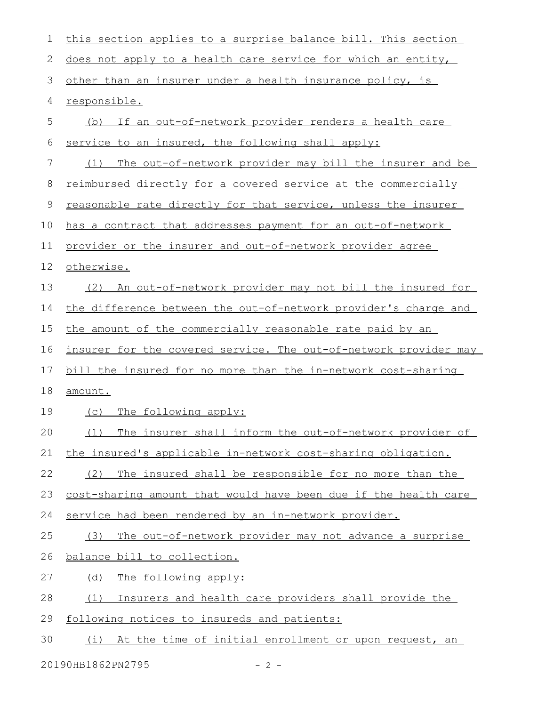| 1           | this section applies to a surprise balance bill. This section    |
|-------------|------------------------------------------------------------------|
| 2           | does not apply to a health care service for which an entity,     |
| 3           | other than an insurer under a health insurance policy, is        |
| 4           | responsible.                                                     |
| 5           | (b) If an out-of-network provider renders a health care          |
| 6           | service to an insured, the following shall apply:                |
| 7           | The out-of-network provider may bill the insurer and be<br>(1)   |
| 8           | reimbursed directly for a covered service at the commercially    |
| $\mathsf 9$ | reasonable rate directly for that service, unless the insurer    |
| 10          | has a contract that addresses payment for an out-of-network      |
| 11          | provider or the insurer and out-of-network provider agree        |
| 12          | otherwise.                                                       |
| 13          | An out-of-network provider may not bill the insured for<br>(2)   |
| 14          | the difference between the out-of-network provider's charge and  |
| 15          | the amount of the commercially reasonable rate paid by an        |
| 16          | insurer for the covered service. The out-of-network provider may |
| 17          | bill the insured for no more than the in-network cost-sharing    |
| 18          | amount.                                                          |
| 19          | (c) The following apply:                                         |
| 20          | The insurer shall inform the out-of-network provider of<br>(1)   |
| 21          | the insured's applicable in-network cost-sharing obligation.     |
| 22          | The insured shall be responsible for no more than the<br>(2)     |
| 23          | cost-sharing amount that would have been due if the health care  |
| 24          | service had been rendered by an in-network provider.             |
| 25          | The out-of-network provider may not advance a surprise<br>(3)    |
| 26          | balance bill to collection.                                      |
| 27          | The following apply:<br>(d)                                      |
| 28          | (1)<br>Insurers and health care providers shall provide the      |
| 29          | following notices to insureds and patients:                      |
| 30          | (i) At the time of initial enrollment or upon request, an        |

20190HB1862PN2795 - 2 -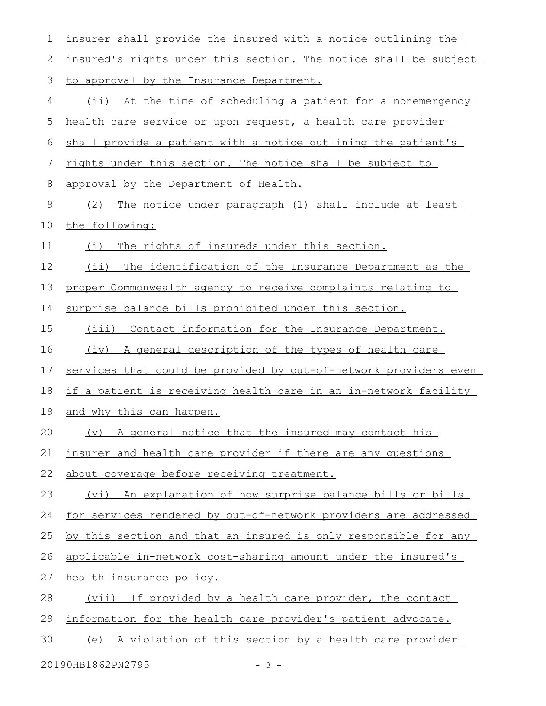| 1  | insurer shall provide the insured with a notice outlining the    |
|----|------------------------------------------------------------------|
| 2  | insured's rights under this section. The notice shall be subject |
| 3  | to approval by the Insurance Department.                         |
| 4  | (ii) At the time of scheduling a patient for a nonemergency      |
| 5  | health care service or upon request, a health care provider      |
| 6  | shall provide a patient with a notice outlining the patient's    |
| 7  | rights under this section. The notice shall be subject to        |
| 8  | approval by the Department of Health.                            |
| 9  | The notice under paragraph (1) shall include at least<br>(2)     |
| 10 | the following:                                                   |
| 11 | The rights of insureds under this section.<br>(i)                |
| 12 | $(i$ i)<br>The identification of the Insurance Department as the |
| 13 | proper Commonwealth agency to receive complaints relating to     |
| 14 | surprise balance bills prohibited under this section.            |
| 15 | (iii) Contact information for the Insurance Department.          |
| 16 | A general description of the types of health care<br>(iv)        |
| 17 | services that could be provided by out-of-network providers even |
| 18 | if a patient is receiving health care in an in-network facility  |
| 19 | and why this can happen.                                         |
| 20 | (v) A general notice that the insured may contact his            |
| 21 | insurer and health care provider if there are any questions      |
| 22 | about coverage before receiving treatment.                       |
| 23 | (vi) An explanation of how surprise balance bills or bills       |
| 24 | for services rendered by out-of-network providers are addressed  |
| 25 | by this section and that an insured is only responsible for any  |
| 26 | applicable in-network cost-sharing amount under the insured's    |
| 27 | health insurance policy.                                         |
| 28 | (vii) If provided by a health care provider, the contact         |
| 29 | information for the health care provider's patient advocate.     |
| 30 | (e) A violation of this section by a health care provider        |
|    |                                                                  |

20190HB1862PN2795 - 3 -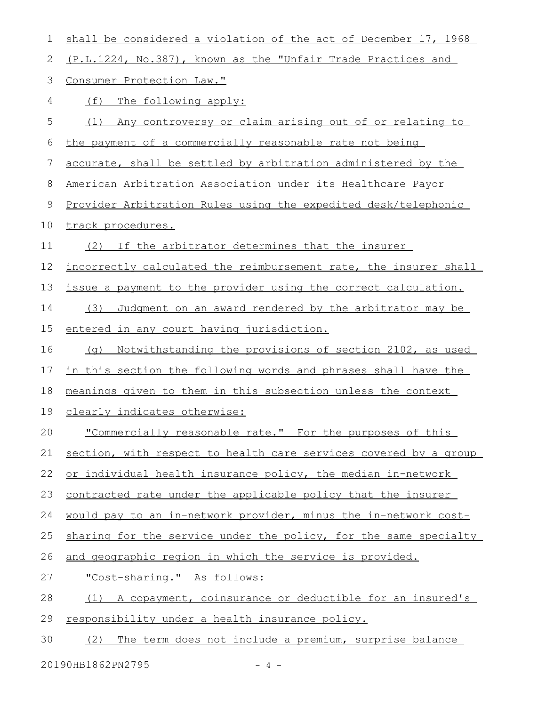| 1  | shall be considered a violation of the act of December 17, 1968  |
|----|------------------------------------------------------------------|
| 2  | (P.L.1224, No.387), known as the "Unfair Trade Practices and     |
| 3  | Consumer Protection Law."                                        |
| 4  | (f)<br>The following apply:                                      |
| 5  | Any controversy or claim arising out of or relating to<br>(1)    |
| 6  | the payment of a commercially reasonable rate not being          |
| 7  | accurate, shall be settled by arbitration administered by the    |
| 8  | American Arbitration Association under its Healthcare Payor      |
| 9  | Provider Arbitration Rules using the expedited desk/telephonic   |
| 10 | track procedures.                                                |
| 11 | (2) If the arbitrator determines that the insurer                |
| 12 | incorrectly calculated the reimbursement rate, the insurer shall |
| 13 | issue a payment to the provider using the correct calculation.   |
| 14 | Judgment on an award rendered by the arbitrator may be<br>(3)    |
| 15 | entered in any court having jurisdiction.                        |
| 16 | Notwithstanding the provisions of section 2102, as used<br>(q)   |
| 17 | in this section the following words and phrases shall have the   |
| 18 | meanings given to them in this subsection unless the context     |
| 19 | clearly indicates otherwise:                                     |
| 20 | "Commercially reasonable rate." For the purposes of this         |
| 21 | section, with respect to health care services covered by a group |
| 22 | or individual health insurance policy, the median in-network     |
| 23 | contracted rate under the applicable policy that the insurer     |
| 24 | would pay to an in-network provider, minus the in-network cost-  |
| 25 | sharing for the service under the policy, for the same specialty |
| 26 | and geographic region in which the service is provided.          |
| 27 | "Cost-sharing." As follows:                                      |
| 28 | A copayment, coinsurance or deductible for an insured's<br>(1)   |
| 29 | responsibility under a health insurance policy.                  |
| 30 | (2) The term does not include a premium, surprise balance        |
|    |                                                                  |

20190HB1862PN2795 - 4 -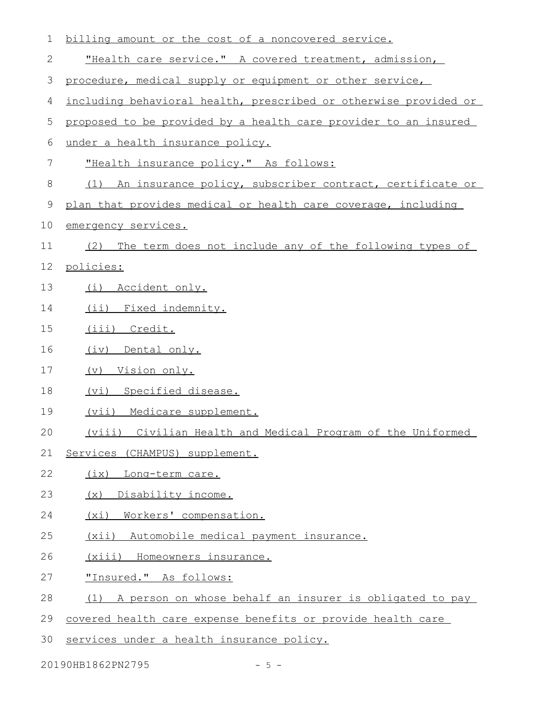| 1  | billing amount or the cost of a noncovered service.              |
|----|------------------------------------------------------------------|
| 2  | "Health care service." A covered treatment, admission,           |
| 3  | procedure, medical supply or equipment or other service,         |
| 4  | including behavioral health, prescribed or otherwise provided or |
| 5  | proposed to be provided by a health care provider to an insured  |
| 6  | under a health insurance policy.                                 |
| 7  | "Health insurance policy." As follows:                           |
| 8  | (1) An insurance policy, subscriber contract, certificate or     |
| 9  | plan that provides medical or health care coverage, including    |
| 10 | emergency services.                                              |
| 11 | The term does not include any of the following types of<br>(2)   |
| 12 | policies:                                                        |
| 13 | (i) Accident only.                                               |
| 14 | (ii) Fixed indemnity.                                            |
| 15 | (iii) Credit.                                                    |
| 16 | (iv) Dental only.                                                |
| 17 | (v) Vision only.                                                 |
| 18 | (vi) Specified disease.                                          |
| 19 | (vii) Medicare supplement.                                       |
| 20 | (viii) Civilian Health and Medical Program of the Uniformed      |
| 21 | Services (CHAMPUS) supplement.                                   |
| 22 | (ix) Long-term care.                                             |
| 23 | (x) Disability income.                                           |
| 24 | (xi) Workers' compensation.                                      |
| 25 | (xii) Automobile medical payment insurance.                      |
| 26 | (xiii) Homeowners insurance.                                     |
| 27 | "Insured." As follows:                                           |
| 28 | (1) A person on whose behalf an insurer is obligated to pay      |
| 29 | covered health care expense benefits or provide health care      |
| 30 | services under a health insurance policy.                        |

20190HB1862PN2795 - 5 -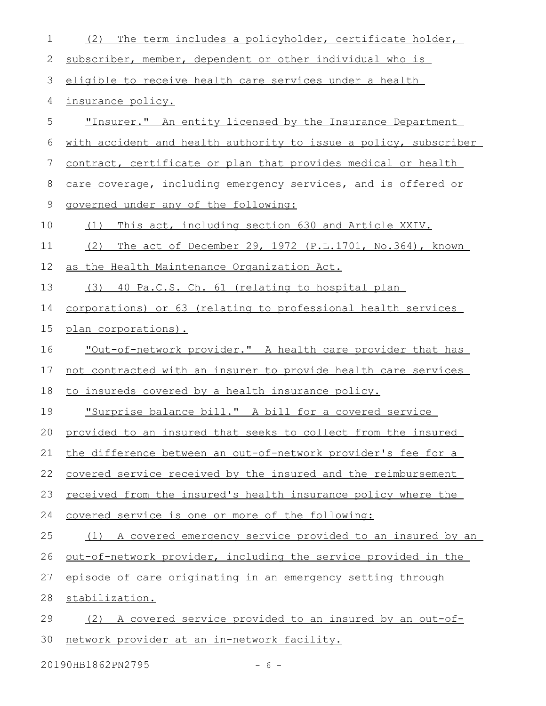| $\mathbf 1$ | The term includes a policyholder, certificate holder,<br>(2)          |
|-------------|-----------------------------------------------------------------------|
| 2           | subscriber, member, dependent or other individual who is              |
| 3           | eligible to receive health care services under a health               |
| 4           | insurance policy.                                                     |
| 5           | "Insurer." An entity licensed by the Insurance Department             |
| 6           | with accident and health authority to issue a policy, subscriber      |
| 7           | contract, certificate or plan that provides medical or health         |
| 8           | care coverage, including emergency services, and is offered or        |
| 9           | governed under any of the following:                                  |
| 10          | This act, including section 630 and Article XXIV.<br>(1)              |
| 11          | The act of December 29, 1972 (P.L.1701, No.364), known<br>(2)         |
| 12          | as the Health Maintenance Organization Act.                           |
| 13          | (3) 40 Pa.C.S. Ch. 61 (relating to hospital plan                      |
| 14          | <u>corporations) or 63 (relating to professional health services</u>  |
| 15          | plan corporations).                                                   |
| 16          | <u>"Out-of-network provider." A health care provider that has</u>     |
| 17          | not contracted with an insurer to provide health care services        |
| 18          | to insureds covered by a health insurance policy.                     |
| 19          | "Surprise balance bill." A bill for a covered service                 |
|             | 20 provided to an insured that seeks to collect from the insured      |
| 21          | the difference between an out-of-network provider's fee for a         |
| 22          | covered service received by the insured and the reimbursement         |
| 23          | received from the insured's health insurance policy where the         |
| 24          | covered service is one or more of the following:                      |
| 25          | A covered emergency service provided to an insured by an<br>(1)       |
| 26          | <u>out-of-network provider, including the service provided in the</u> |
| 27          | episode of care originating in an emergency setting through           |
| 28          | stabilization.                                                        |
| 29          | A covered service provided to an insured by an out-of-<br>(2)         |
| 30          | network provider at an in-network facility.                           |

20190HB1862PN2795 - 6 -